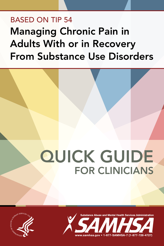# BASeD ON TIP 54 Managing Chronic Pain in Adults With or in Recovery From Substance Use Disorders

# QUICK GUIDE FOR CLINICIANS



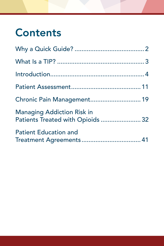# **Contents**

| Chronic Pain Management 19                                             |
|------------------------------------------------------------------------|
| <b>Managing Addiction Risk in</b><br>Patients Treated with Opioids  32 |
| <b>Patient Education and</b><br>Treatment Agreements 41                |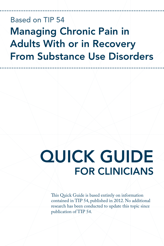# Based on TIP 54 Managing Chronic Pain in Adults With or in Recovery From Substance Use Disorders

# QUICK GUIDE FOR CLINICIANS

This Quick Guide is based entirely on information contained in TIP 54, published in 2012. No additional research has been conducted to update this topic since publication of TIP 54.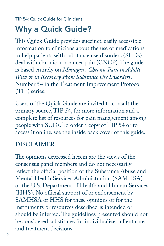# <span id="page-3-0"></span>Why a Quick Guide?

This Quick Guide provides succinct, easily accessible information to clinicians about the use of medications to help patients with substance use disorders (SUDs) deal with chronic noncancer pain (CNCP). The guide is based entirely on *Managing Chronic Pain in Adults With or in Recovery From Substance Use Disorders*, Number 54 in the Treatment Improvement Protocol (TIP) series.

Users of the Quick Guide are invited to consult the primary source, TIP 54, for more information and a complete list of resources for pain management among people with SUDs. To order a copy of TIP 54 or to access it online, see the inside back cover of this guide.

#### DISCLAIMER

The opinions expressed herein are the views of the consensus panel members and do not necessarily reflect the official position of the Substance Abuse and Mental Health Services Administration (SAMHSA) or the U.S. Department of Health and Human Services (HHS). No official support of or endorsement by SAMHSA or HHS for these opinions or for the instruments or resources described is intended or should be inferred. The guidelines presented should not be considered substitutes for individualized client care and treatment decisions.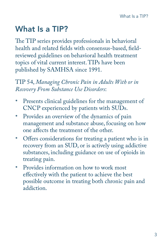# <span id="page-4-0"></span>What Is a TIP?

The TIP series provides professionals in behavioral health and related fields with consensus-based, fieldreviewed guidelines on behavioral health treatment topics of vital current interest. TIPs have been published by SAMHSA since 1991.

TIP 54, *Managing Chronic Pain in Adults With or in Recovery From Substance Use Disorders*:

- Presents clinical guidelines for the management of CNCP experienced by patients with SUDs.
- Provides an overview of the dynamics of pain management and substance abuse, focusing on how one affects the treatment of the other.
- Offers considerations for treating a patient who is in recovery from an SUD, or is actively using addictive substances, including guidance on use of opioids in treating pain.
- Provides information on how to work most effectively with the patient to achieve the best possible outcome in treating both chronic pain and addiction.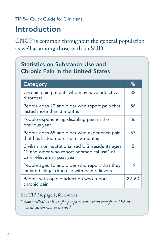# <span id="page-5-0"></span>Introduction

CNCP is common throughout the general population as well as among those with an SUD.

#### Statistics on Substance Use and Chronic Pain in the United States

| Category                                                                                                                        | ℅         |
|---------------------------------------------------------------------------------------------------------------------------------|-----------|
| Chronic pain patients who may have addictive<br>disorders                                                                       | 32        |
| People ages 20 and older who report pain that<br>lasted more than 3 months                                                      | 56        |
| People experiencing disabling pain in the<br>previous year                                                                      | 36        |
| People ages 65 and older who experience pain<br>that has lasted more than 12 months                                             | 57        |
| Civilian, noninstitutionalized U.S. residents ages<br>12 and older who report nonmedical use* of<br>pain relievers in past year | 5         |
| People ages 12 and older who report that they<br>initiated illegal drug use with pain relievers                                 | 19        |
| People with opioid addiction who report<br>chronic pain                                                                         | $29 - 60$ |

See TIP 54, page 1, for sources.

\* *Nonmedical use is use for purposes other than that for which the medication was prescribed.*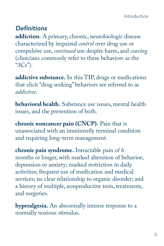#### *Definitions*

**addiction.** A primary, chronic, neurobiologic disease characterized by impaired *control* over drug use or compulsive use, *continued* use despite harm, and *craving* (clinicians commonly refer to these behaviors as the " $3Cs$ ").

**addictive substance.** In this TIP, drugs or medications that elicit "drug seeking" behaviors are referred to as *addictive*.

**behavioral health.** Substance use issues, mental health issues, and the prevention of both.

**chronic noncancer pain (CNCP).** Pain that is unassociated with an imminently terminal condition and requiring long-term management.

**chronic pain syndrome.** Intractable pain of 6 months or longer, with marked alteration of behavior; depression or anxiety; marked restriction in daily activities; frequent use of medication and medical services; no clear relationship to organic disorder; and a history of multiple, nonproductive tests, treatments, and surgeries.

**hyperalgesia.** An abnormally intense response to a normally noxious stimulus.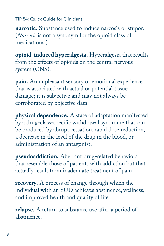**narcotic.** Substance used to induce narcosis or stupor. (*Narcotic* is not a synonym for the opioid class of medications.)

**opioid-induced hyperalgesia.** Hyperalgesia that results from the effects of opioids on the central nervous system (CNS).

**pain.** An unpleasant sensory or emotional experience that is associated with actual or potential tissue damage; it is subjective and may not always be corroborated by objective data.

**physical dependence.** A state of adaptation manifested by a drug-class-specific withdrawal syndrome that can be produced by abrupt cessation, rapid dose reduction, a decrease in the level of the drug in the blood, or administration of an antagonist.

**pseudoaddiction.** Aberrant drug-related behaviors that resemble those of patients with addiction but that actually result from inadequate treatment of pain.

**recovery.** A process of change through which the individual with an SUD achieves abstinence, wellness, and improved health and quality of life.

**relapse.** A return to substance use after a period of abstinence.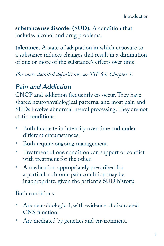**substance use disorder (SUD).** A condition that includes alcohol and drug problems.

**tolerance.** A state of adaptation in which exposure to a substance induces changes that result in a diminution of one or more of the substance's effects over time.

*For more detailed definitions, see TIP 54, Chapter 1.* 

#### *Pain and Addiction*

CNCP and addiction frequently co-occur. They have shared neurophysiological patterns, and most pain and SUDs involve abnormal neural processing. They are not static conditions:

- Both fluctuate in intensity over time and under different circumstances.
- Both require ongoing management.
- Treatment of one condition can support or conflict with treatment for the other.
- • A medication appropriately prescribed for a particular chronic pain condition may be inappropriate, given the patient's SUD history.

Both conditions:

- Are neurobiological, with evidence of disordered CNS function.
- Are mediated by genetics and environment.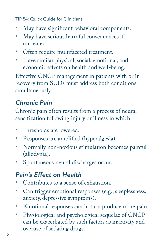- May have significant behavioral components.
- May have serious harmful consequences if untreated.
- • Often require multifaceted treatment.
- • Have similar physical, social, emotional, and economic effects on health and well-being.

Effective CNCP management in patients with or in recovery from SUDs must address both conditions simultaneously.

#### *Chronic Pain*

Chronic pain often results from a process of neural sensitization following injury or illness in which:

- Thresholds are lowered.
- • Responses are amplified (hyperalgesia).
- Normally non-noxious stimulation becomes painful (allodynia).
- Spontaneous neural discharges occur.

## *Pain's Effect on Health*

- Contributes to a sense of exhaustion.
- Can trigger emotional responses (e.g., sleeplessness, anxiety, depressive symptoms).
- • Emotional responses can in turn produce more pain.
- Physiological and psychological sequelae of CNCP can be exacerbated by such factors as inactivity and overuse of sedating drugs.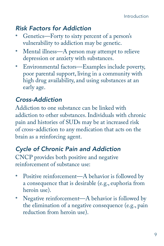## *Risk Factors for Addiction*

- Genetics—Forty to sixty percent of a person's vulnerability to addiction may be genetic.
- Mental illness—A person may attempt to relieve depression or anxiety with substances.
- Environmental factors—Examples include poverty, poor parental support, living in a community with high drug availability, and using substances at an early age.

#### *Cross-Addiction*

Addiction to one substance can be linked with addiction to other substances. Individuals with chronic pain and histories of SUDs may be at increased risk of cross-addiction to any medication that acts on the brain as a reinforcing agent.

#### *Cycle of Chronic Pain and Addiction*

CNCP provides both positive and negative reinforcement of substance use:

- Positive reinforcement—A behavior is followed by a consequence that is desirable (e.g., euphoria from heroin use).
- Negative reinforcement—A behavior is followed by the elimination of a negative consequence (e.g., pain reduction from heroin use).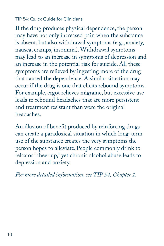If the drug produces physical dependence, the person may have not only increased pain when the substance is absent, but also withdrawal symptoms (e.g., anxiety, nausea, cramps, insomnia). Withdrawal symptoms may lead to an increase in symptoms of depression and an increase in the potential risk for suicide. All these symptoms are relieved by ingesting more of the drug that caused the dependence. A similar situation may occur if the drug is one that elicits rebound symptoms. For example, ergot relieves migraine, but excessive use leads to rebound headaches that are more persistent and treatment resistant than were the original headaches.

An illusion of benefit produced by reinforcing drugs can create a paradoxical situation in which long-term use of the substance creates the very symptoms the person hopes to alleviate. People commonly drink to relax or "cheer up," yet chronic alcohol abuse leads to depression and anxiety.

*For more detailed information, see TIP 54, Chapter 1.*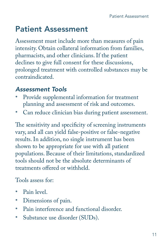# <span id="page-12-0"></span>Patient Assessment

Assessment must include more than measures of pain intensity. Obtain collateral information from families, pharmacists, and other clinicians. If the patient declines to give full consent for these discussions, prolonged treatment with controlled substances may be contraindicated.

#### *Assessment Tools*

- Provide supplemental information for treatment planning and assessment of risk and outcomes.
- Can reduce clinician bias during patient assessment.

The sensitivity and specificity of screening instruments vary, and all can yield false-positive or false-negative results. In addition, no single instrument has been shown to be appropriate for use with all patient populations. Because of their limitations, standardized tools should not be the absolute determinants of treatments offered or withheld.

Tools assess for:

- Pain level
- • Dimensions of pain.
- Pain interference and functional disorder
- Substance use disorder (SUDs).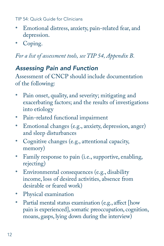- • Emotional distress, anxiety, pain-related fear, and depression.
- Coping.

*For a list of assessment tools, see TIP 54, Appendix B.* 

#### *Assessing Pain and Function*

Assessment of CNCP should include documentation of the following:

- Pain onset, quality, and severity; mitigating and exacerbating factors; and the results of investigations into etiology
- • Pain-related functional impairment
- Emotional changes (e.g., anxiety, depression, anger) and sleep disturbances
- Cognitive changes (e.g., attentional capacity, memory)
- Family response to pain (i.e., supportive, enabling, rejecting)
- Environmental consequences (e.g., disability income, loss of desired activities, absence from desirable or feared work)
- • Physical examination
- Partial mental status examination (e.g., affect [how pain is experienced], somatic preoccupation, cognition, moans, gasps, lying down during the interview)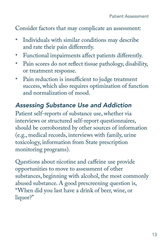Consider factors that may complicate an assessment:

- Individuals with similar conditions may describe and rate their pain differently.
- Functional impairments affect patients differently.
- Pain scores do not reflect tissue pathology, disability, or treatment response.
- Pain reduction is insufficient to judge treatment success, which also requires optimization of function and normalization of mood.

#### *Assessing Substance Use and Addiction*

Patient self-reports of substance use, whether via interviews or structured self-report questionnaires, should be corroborated by other sources of information (e.g., medical records, interviews with family, urine toxicology, information from State prescription monitoring programs).

Questions about nicotine and caffeine use provide opportunities to move to assessment of other substances, beginning with alcohol, the most commonly abused substance. A good prescreening question is, "When did you last have a drink of beer, wine, or liquor?"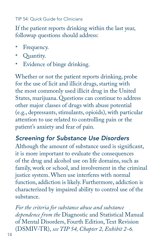If the patient reports drinking within the last year, followup questions should address:

- Frequency.
- Quantity.
- Evidence of binge drinking.

Whether or not the patient reports drinking, probe for the use of licit and illicit drugs, starting with the most commonly used illicit drug in the United States, marijuana. Questions can continue to address other major classes of drugs with abuse potential (e.g., depressants, stimulants, opioids), with particular attention to use related to controlling pain or the patient's anxiety and fear of pain.

## *Screening for Substance Use Disorders*

Although the amount of substance used is significant, it is more important to evaluate the consequences of the drug and alcohol use on life domains, such as family, work or school, and involvement in the criminal justice system. When use interferes with normal function, addiction is likely. Furthermore, addiction is characterized by impaired ability to control use of the substance.

*For the criteria for substance abuse and substance dependence from the* Diagnostic and Statistical Manual of Mental Disorders, Fourth Edition, Text Revision (DSMIV-TR), *see TIP 54, Chapter 2, Exhibit 2-6.*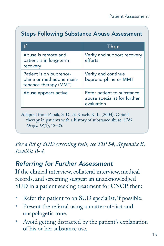#### Steps Following Substance Abuse Assessment

|                                                                                                                                                  | Then                                                                     |  |
|--------------------------------------------------------------------------------------------------------------------------------------------------|--------------------------------------------------------------------------|--|
| Abuse is remote and<br>patient is in long-term<br>recovery                                                                                       | Verify and support recovery<br>efforts                                   |  |
| Patient is on buprenor-<br>phine or methadone main-<br>tenance therapy (MMT)                                                                     | Verify and continue<br>buprenorphine or MMT                              |  |
| Abuse appears active                                                                                                                             | Refer patient to substance<br>abuse specialist for further<br>evaluation |  |
| Adapted from Passik, S. D., & Kirsch, K. L. (2004). Opioid<br>therapy in patients with a history of substance abuse. CNS<br>Drugs, 18(1), 13–25. |                                                                          |  |

*For a list of SUD screening tools, see TIP 54, Appendix B, Exhibit B-4.* 

#### *Referring for Further Assessment*

If the clinical interview, collateral interview, medical records, and screening suggest an unacknowledged SUD in a patient seeking treatment for CNCP, then:

- Refer the patient to an SUD specialist, if possible.
- Present the referral using a matter-of-fact and unapologetic tone.
- Avoid getting distracted by the patient's explanation of his or her substance use.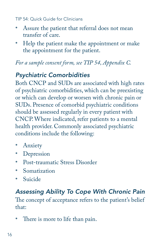- Assure the patient that referral does not mean transfer of care.
- • Help the patient make the appointment or make the appointment for the patient.

*For a sample consent form, see TIP 54, Appendix C.* 

## *Psychiatric Comorbidities*

Both CNCP and SUDs are associated with high rates of psychiatric comorbidities, which can be preexisting or which can develop or worsen with chronic pain or SUDs. Presence of comorbid psychiatric conditions should be assessed regularly in every patient with CNCP. Where indicated, refer patients to a mental health provider. Commonly associated psychiatric conditions include the following:

- Anxiety
- Depression
- • Post-traumatic Stress Disorder
- Somatization
- • Suicide

## *Assessing Ability To Cope With Chronic Pain*

The concept of acceptance refers to the patient's belief that:

• There is more to life than pain.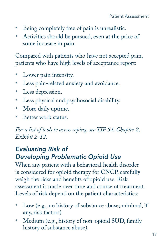- • Being completely free of pain is unrealistic.
- • Activities should be pursued, even at the price of some increase in pain.

Compared with patients who have not accepted pain, patients who have high levels of acceptance report:

- Lower pain intensity.
- Less pain-related anxiety and avoidance.
- Less depression.
- Less physical and psychosocial disability.
- More daily uptime.
- Better work status.

*For a list of tools to assess coping, see TIP 54, Chapter 2, Exhibit 2-12.* 

#### *Evaluating Risk of Developing Problematic Opioid Use*

When any patient with a behavioral health disorder is considered for opioid therapy for CNCP, carefully weigh the risks and benefits of opioid use. Risk assessment is made over time and course of treatment. Levels of risk depend on the patient characteristics:

- Low (e.g., no history of substance abuse; minimal, if any, risk factors)
- Medium (e.g., history of non-opioid SUD, family history of substance abuse)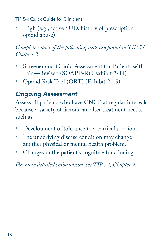High (e.g., active SUD, history of prescription opioid abuse)

*Complete copies of the following tools are found in TIP 54, Chapter 2:* 

- Screener and Opioid Assessment for Patients with Pain—Revised (SOAPP-R) (Exhibit 2-14)
- • Opioid Risk Tool (ORT) (Exhibit 2-15)

#### *Ongoing Assessment*

Assess all patients who have CNCP at regular intervals, because a variety of factors can alter treatment needs, such as:

- • Development of tolerance to a particular opioid.
- The underlying disease condition may change another physical or mental health problem.
- Changes in the patient's cognitive functioning.

*For more detailed information, see TIP 54, Chapter 2.*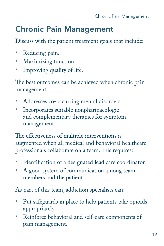# <span id="page-20-0"></span>Chronic Pain Management

Discuss with the patient treatment goals that include:

- Reducing pain.
- Maximizing function.
- Improving quality of life.

The best outcomes can be achieved when chronic pain management:

- Addresses co-occurring mental disorders.
- Incorporates suitable nonpharmacologic and complementary therapies for symptom management.

The effectiveness of multiple interventions is augmented when all medical and behavioral healthcare professionals collaborate on a team. This requires:

- Identification of a designated lead care coordinator.
- A good system of communication among team members and the patient.

As part of this team, addiction specialists can:

- Put safeguards in place to help patients take opioids appropriately.
- Reinforce behavioral and self-care components of pain management.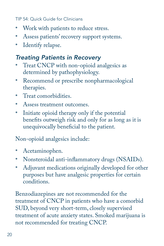- • Work with patients to reduce stress.
- Assess patients' recovery support systems.
- Identify relapse.

#### *Treating Patients in Recovery*

- Treat CNCP with non-opioid analgesics as determined by pathophysiology.
- Recommend or prescribe nonpharmacological therapies.
- • Treat comorbidities.
- Assess treatment outcomes.
- Initiate opioid therapy only if the potential benefits outweigh risk and only for as long as it is unequivocally beneficial to the patient.

Non-opioid analgesics include:

- Acetaminophen.
- • Nonsteroidal anti-inflammatory drugs (NSAIDs).
- Adjuvant medications originally developed for other purposes but have analgesic properties for certain conditions.

Benzodiazepines are not recommended for the treatment of CNCP in patients who have a comorbid SUD, beyond very short-term, closely supervised treatment of acute anxiety states. Smoked marijuana is not recommended for treating CNCP.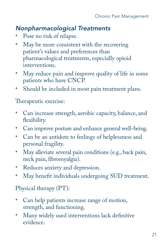#### *Nonpharmacological Treatments*

- Pose no risk of relapse.
- May be more consistent with the recovering patient's values and preferences than pharmacological treatments, especially opioid interventions.
- May reduce pain and improve quality of life in some patients who have CNCP.
- Should be included in most pain treatment plans.

#### Therapeutic exercise:

- • Can increase strength, aerobic capacity, balance, and flexibility.
- Can improve posture and enhance general well-being.
- • Can be an antidote to feelings of helplessness and personal fragility.
- May alleviate several pain conditions (e.g., back pain, neck pain, fibromyalgia).
- Reduces anxiety and depression.
- May benefit individuals undergoing SUD treatment.

#### Physical therapy (PT):

- • Can help patients increase range of motion, strength, and functioning.
- Many widely used interventions lack definitive evidence.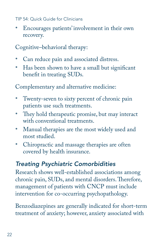• Encourages patients' involvement in their own recovery.

Cognitive–behavioral therapy:

- Can reduce pain and associated distress.
- Has been shown to have a small but significant benefit in treating SUDs.

Complementary and alternative medicine:

- • Twenty-seven to sixty percent of chronic pain patients use such treatments.
- They hold therapeutic promise, but may interact with conventional treatments.
- • Manual therapies are the most widely used and most studied.
- • Chiropractic and massage therapies are often covered by health insurance.

## *Treating Psychiatric Comorbidities*

 chronic pain, SUDs, and mental disorders. Therefore, Research shows well-established associations among management of patients with CNCP must include intervention for co-occurring psychopathology.

Benzodiazepines are generally indicated for short-term treatment of anxiety; however, anxiety associated with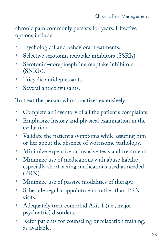chronic pain commonly persists for years. Effective options include:

- Psychological and behavioral treatments.
- • Selective serotonin reuptake inhibitors (SSRIs).
- Serotonin–norepinephrine reuptake inhibitors (SNRIs).
- • Tricyclic antidepressants.
- • Several anticonvulsants.

To treat the person who somatizes extensively:

- Complete an inventory of all the patient's complaints.
- • Emphasize history and physical examination in the evaluation.
- Validate the patient's symptoms while assuring him or her about the absence of worrisome pathology.
- Minimize expensive or invasive tests and treatments.
- • Minimize use of medications with abuse liability, especially short-acting medications used as needed (PRN).
- • Minimize use of passive modalities of therapy.
- • Schedule regular appointments rather than PRN visits.
- Adequately treat comorbid Axis 1 (i.e., major psychiatric) disorders.
- Refer patients for counseling or relaxation training, as available.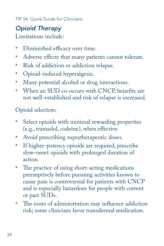# *Opioid Therapy*

Limitations include:

- • Diminished efficacy over time.
- Adverse effects that many patients cannot tolerate.
- Risk of addiction or addiction relapse.
- Opioid-induced hyperalgesia.
- Many potential alcohol or drug interactions.
- When an SUD co-occurs with CNCP, benefits are not well-established and risk of relapse is increased.

Opioid selection:

- Select opioids with minimal rewarding properties (e.g., tramadol, codeine), when effective.
- Avoid prescribing supratherapeutic doses.
- If higher-potency opioids are required, prescribe slow-onset opioids with prolonged duration of action.
- The practice of using short-acting medications preemptively before pursuing activities known to cause pain is controversial for patients with CNCP and is especially hazardous for people with current or past SUDs.
- The route of administration may influence addiction risk; some clinicians favor transdermal medication.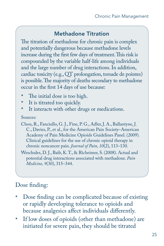#### Methadone Titration

The titration of methadone for chronic pain is complex and potentially dangerous because methadone levels increase during the first few days of treatment.This risk is compounded by the variable half-life among individuals and the large number of drug interactions. In addition, cardiac toxicity (e.g., QT prolongation, torsade de pointes) is possible.The majority of deaths secondary to methadone occur in the first 14 days of use because:

- The initial dose is too high.
- It is titrated too quickly.
- It interacts with other drugs or medications.

#### Sources:

Chou, R., Fanciullo, G. J., Fine, P. G., Adler, J. A., Ballantyne, J. C., Davies, P., et al., for the American Pain Society–American Academy of Pain Medicine Opioids Guidelines Panel. (2009). Clinical guidelines for the use of chronic opioid therapy in chronic noncancer pain. *Journal of Pain, 10*(2), 113–130.

Weschules, D. J., Baib, K. T., & Richeimer, S. (2008). Actual and potential drug interactions associated with methadone. *Pain Medicine, 9*(30), 315–344.

#### Dose finding:

- Dose finding can be complicated because of existing or rapidly developing tolerance to opioids and because analgesics affect individuals differently.
- If low doses of opioids (other than methadone) are initiated for severe pain, they should be titrated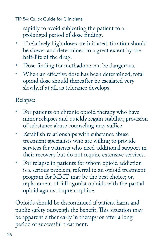rapidly to avoid subjecting the patient to a prolonged period of dose finding.

- • If relatively high doses are initiated, titration should be slower and determined to a great extent by the half-life of the drug.
- • Dose finding for methadone can be dangerous.
- • When an effective dose has been determined, total opioid dose should thereafter be escalated very slowly, if at all, as tolerance develops.

#### Relapse:

- For patients on chronic opioid therapy who have minor relapses and quickly regain stability, provision of substance abuse counseling may suffice.
- Establish relationships with substance abuse treatment specialists who are willing to provide services for patients who need additional support in their recovery but do not require extensive services.
- For relapse in patients for whom opioid addiction is a serious problem, referral to an opioid treatment program for MMT may be the best choice; or, replacement of full agonist opioids with the partial opioid agonist buprenorphine.

Opioids should be discontinued if patient harm and public safety outweigh the benefit. This situation may be apparent either early in therapy or after a long period of successful treatment.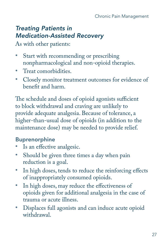## *Treating Patients in Medication-Assisted Recovery*

As with other patients:

- Start with recommending or prescribing nonpharmacological and non-opioid therapies.
- Treat comorbidities.
- • Closely monitor treatment outcomes for evidence of benefit and harm.

The schedule and doses of opioid agonists sufficient to block withdrawal and craving are unlikely to provide adequate analgesia. Because of tolerance, a higher-than-usual dose of opioids (in addition to the maintenance dose) may be needed to provide relief.

#### Buprenorphine

- Is an effective analgesic.
- • Should be given three times a day when pain reduction is a goal.
- In high doses, tends to reduce the reinforcing effects of inappropriately consumed opioids.
- In high doses, may reduce the effectiveness of opioids given for additional analgesia in the case of trauma or acute illness.
- • Displaces full agonists and can induce acute opioid withdrawal.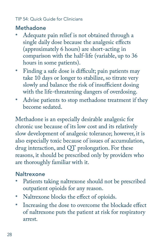#### Methadone

- Adequate pain relief is not obtained through a single daily dose because the analgesic effects (approximately 6 hours) are short-acting in comparison with the half-life (variable, up to 36 hours in some patients).
- Finding a safe dose is difficult; pain patients may take 10 days or longer to stabilize, so titrate very slowly and balance the risk of insufficient dosing with the life-threatening dangers of overdosing.
- Advise patients to stop methadone treatment if they become sedated.

Methadone is an especially desirable analgesic for chronic use because of its low cost and its relatively slow development of analgesic tolerance; however, it is also especially toxic because of issues of accumulation, drug interaction, and QT prolongation. For these reasons, it should be prescribed only by providers who are thoroughly familiar with it.

#### **Naltrexone**

- Patients taking naltrexone should not be prescribed outpatient opioids for any reason.
- Naltrexone blocks the effect of opioids.
- • Increasing the dose to overcome the blockade effect of naltrexone puts the patient at risk for respiratory arrest.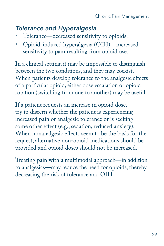#### *Tolerance and Hyperalgesia*

- Tolerance—decreased sensitivity to opioids.
- • Opioid-induced hyperalgesia (OIH)—increased sensitivity to pain resulting from opioid use.

In a clinical setting, it may be impossible to distinguish between the two conditions, and they may coexist. When patients develop tolerance to the analgesic effects of a particular opioid, either dose escalation or opioid rotation (switching from one to another) may be useful.

If a patient requests an increase in opioid dose, try to discern whether the patient is experiencing increased pain or analgesic tolerance or is seeking some other effect (e.g., sedation, reduced anxiety). When nonanalgesic effects seem to be the basis for the request, alternative non-opioid medications should be provided and opioid doses should not be increased.

Treating pain with a multimodal approach—in addition to analgesics—may reduce the need for opioids, thereby decreasing the risk of tolerance and OIH.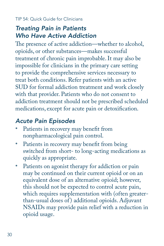#### *Treating Pain in Patients Who Have Active Addiction*

The presence of active addiction—whether to alcohol, opioids, or other substances—makes successful treatment of chronic pain improbable. It may also be impossible for clinicians in the primary care setting to provide the comprehensive services necessary to treat both conditions. Refer patients with an active SUD for formal addiction treatment and work closely with that provider. Patients who do not consent to addiction treatment should not be prescribed scheduled medications, except for acute pain or detoxification.

#### *Acute Pain Episodes*

- Patients in recovery may benefit from nonpharmacological pain control.
- Patients in recovery may benefit from being switched from short- to long-acting medications as quickly as appropriate.
- Patients on agonist therapy for addiction or pain may be continued on their current opioid or on an equivalent dose of an alternative opioid; however, this should not be expected to control acute pain, which requires supplementation with (often greaterthan-usual doses of ) additional opioids. Adjuvant NSAIDs may provide pain relief with a reduction in opioid usage.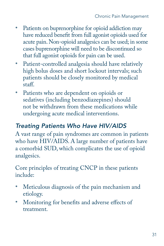- Patients on buprenorphine for opioid addiction may have reduced benefit from full agonist opioids used for acute pain. Non-opioid analgesics can be used; in some cases buprenorphine will need to be discontinued so that full agonist opioids for pain can be used.
- Patient-controlled analgesia should have relatively high bolus doses and short lockout intervals; such patients should be closely monitored by medical staff.
- • Patients who are dependent on opioids or sedatives (including benzodiazepines) should not be withdrawn from these medications while undergoing acute medical interventions.

#### *Treating Patients Who Have HIV/AIDS*

A vast range of pain syndromes are common in patients who have HIV/AIDS. A large number of patients have a comorbid SUD, which complicates the use of opioid analgesics.

Core principles of treating CNCP in these patients include:

- Meticulous diagnosis of the pain mechanism and etiology.
- • Monitoring for benefits and adverse effects of treatment.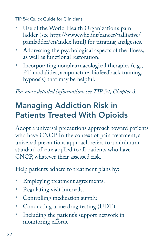- <span id="page-33-0"></span>• Use of the World Health Organization's pain ladder (see [http://www.who.int/cancer/palliative/](http://www.who.int/cancer/palliative/painladder/en/index.html) [painladder/en/index.html](http://www.who.int/cancer/palliative/painladder/en/index.html)) for titrating analgesics.
- Addressing the psychological aspects of the illness, as well as functional restoration.
- Incorporating nonpharmacological therapies (e.g., PT modalities, acupuncture, biofeedback training, hypnosis) that may be helpful.

*For more detailed information, see TIP 54, Chapter 3.* 

# Managing Addiction Risk in Patients Treated With Opioids

Adopt a universal precautions approach toward patients who have CNCP. In the context of pain treatment, a universal precautions approach refers to a minimum standard of care applied to all patients who have CNCP, whatever their assessed risk.

Help patients adhere to treatment plans by:

- Employing treatment agreements.
- Regulating visit intervals.
- Controlling medication supply.
- Conducting urine drug testing (UDT).
- Including the patient's support network in monitoring efforts.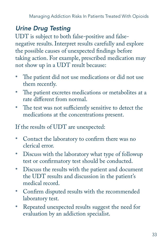## *Urine Drug Testing*

UDT is subject to both false-positive and falsenegative results. Interpret results carefully and explore the possible causes of unexpected findings before taking action. For example, prescribed medication may not show up in a UDT result because:

- The patient did not use medications or did not use them recently.
- • The patient excretes medications or metabolites at a rate different from normal.
- The test was not sufficiently sensitive to detect the medications at the concentrations present.

If the results of UDT are unexpected:

- Contact the laboratory to confirm there was no clerical error.
- Discuss with the laboratory what type of followup test or confirmatory test should be conducted.
- • Discuss the results with the patient and document the UDT results and discussion in the patient's medical record.
- • Confirm disputed results with the recommended laboratory test.
- Repeated unexpected results suggest the need for evaluation by an addiction specialist.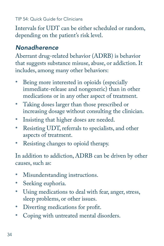Intervals for UDT can be either scheduled or random, depending on the patient's risk level.

### *Nonadherence*

Aberrant drug-related behavior (ADRB) is behavior that suggests substance misuse, abuse, or addiction. It includes, among many other behaviors:

- • Being more interested in opioids (especially immediate-release and nongeneric) than in other medications or in any other aspect of treatment.
- Taking doses larger than those prescribed or increasing dosage without consulting the clinician.
- • Insisting that higher doses are needed.
- • Resisting UDT, referrals to specialists, and other aspects of treatment.
- Resisting changes to opioid therapy.

In addition to addiction, ADRB can be driven by other causes, such as:

- Misunderstanding instructions.
- Seeking euphoria.
- • Using medications to deal with fear, anger, stress, sleep problems, or other issues.
- • Diverting medications for profit.
- • Coping with untreated mental disorders.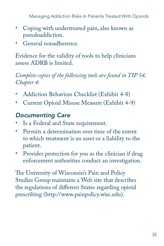Managing Addiction Risks In Patients Treated With Opioids

- • Coping with undertreated pain, also known as pseudoaddiction.
- General nonadherence.

Evidence for the validity of tools to help clinicians assess ADRB is limited.

*Complete copies of the following tools are found in TIP 54, Chapter 4:* 

- Addiction Behaviors Checklist (Exhibit 4-8)
- Current Opioid Misuse Measure (Exhibit 4-9)

#### *Documenting Care*

- • Is a Federal and State requirement.
- • Permits a determination over time of the extent to which treatment is an asset or a liability to the patient.
- Provides protection for you as the clinician if drug enforcement authorities conduct an investigation.

The University of Wisconsin's Pain and Policy Studies Group maintains a Web site that describes the regulations of different States regarding opioid prescribing (http://www.painpolicy.wisc.edu).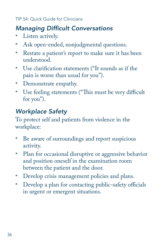## *Managing Difficult Conversations*

- Listen actively.
- Ask open-ended, nonjudgmental questions.
- • Restate a patient's report to make sure it has been understood.
- • Use clarification statements ("It sounds as if the pain is worse than usual for you").
- Demonstrate empathy.
- Use feeling statements ("This must be very difficult" for you").

## *Workplace Safety*

To protect self and patients from violence in the workplace:

- Be aware of surroundings and report suspicious activity.
- Plan for occasional disruptive or aggressive behavior and position oneself in the examination room between the patient and the door.
- Develop crisis management policies and plans.
- Develop a plan for contacting public-safety officials in urgent or emergent situations.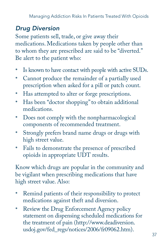### *Drug Diversion*

Some patients sell, trade, or give away their medications. Medications taken by people other than to whom they are prescribed are said to be "diverted." Be alert to the patient who:

- Is known to have contact with people with active SUDs.
- Cannot produce the remainder of a partially used prescription when asked for a pill or patch count.
- Has attempted to alter or forge prescriptions.
- Has been "doctor shopping" to obtain additional medications.
- Does not comply with the nonpharmacological components of recommended treatment.
- Strongly prefers brand name drugs or drugs with high street value.
- • Fails to demonstrate the presence of prescribed opioids in appropriate UDT results.

Know which drugs are popular in the community and be vigilant when prescribing medications that have high street value. Also:

- • Remind patients of their responsibility to protect medications against theft and diversion.
- Review the Drug Enforcement Agency policy statement on dispensing scheduled medications for the treatment of pain [\(http://www.deadiversion.](http://www.deadiversion.usdoj.gov/fed_regs/notices/2006/fr09062.htm) [usdoj.gov/fed\\_regs/notices/2006/fr09062.htm](http://www.deadiversion.usdoj.gov/fed_regs/notices/2006/fr09062.htm)).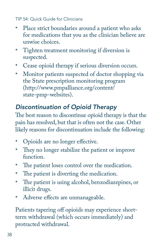- Place strict boundaries around a patient who asks for medications that you as the clinician believe are unwise choices.
- • Tighten treatment monitoring if diversion is suspected.
- • Cease opioid therapy if serious diversion occurs.
- Monitor patients suspected of doctor shopping via the State prescription monitoring program ([http://www.pmpalliance.org/content/](http://www.pmpalliance.org/content/state-pmp-websites) [state-pmp-websites\)](http://www.pmpalliance.org/content/state-pmp-websites).

## *Discontinuation of Opioid Therapy*

The best reason to discontinue opioid therapy is that the pain has resolved, but that is often not the case. Other likely reasons for discontinuation include the following:

- Opioids are no longer effective.
- They no longer stabilize the patient or improve function.
- The patient loses control over the medication.
- The patient is diverting the medication.
- The patient is using alcohol, benzodiazepines, or illicit drugs.
- Adverse effects are unmanageable.

Patients tapering off opioids may experience shortterm withdrawal (which occurs immediately) and protracted withdrawal.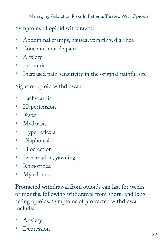Managing Addiction Risks In Patients Treated With Opioids

Symptoms of opioid withdrawal:

- Abdominal cramps, nausea, vomiting, diarrhea
- Bone and muscle pain
- Anxiety
- Insomnia
- Increased pain sensitivity in the original painful site

Signs of opioid withdrawal:

- Tachycardia
- Hypertension
- Fever
- Mydriasis
- Hyperreflexia
- Diaphoresis
- Piloerection
- Lacrimation, yawning
- Rhinorrhea
- Myoclonus

Protracted withdrawal from opioids can last for weeks or months, following withdrawal from short- and longacting opioids. Symptoms of protracted withdrawal include:

- Anxiety
- Depression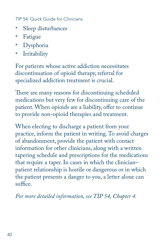- Sleep disturbances
- Fatigue
- Dysphoria
- Irritability

For patients whose active addiction necessitates discontinuation of opioid therapy, referral for specialized addiction treatment is crucial.

There are many reasons for discontinuing scheduled medications but very few for discontinuing care of the patient. When opioids are a liability, offer to continue to provide non-opioid therapies and treatment.

When electing to discharge a patient from your practice, inform the patient in writing. To avoid charges of abandonment, provide the patient with contact information for other clinicians, along with a written tapering schedule and prescriptions for the medications that require a taper. In cases in which the clinician– patient relationship is hostile or dangerous or in which the patient presents a danger to you, a letter alone can suffice.

*For more detailed information, see TIP 54, Chapter 4.*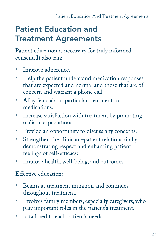# <span id="page-42-0"></span>Patient Education and Treatment Agreements

Patient education is necessary for truly informed consent. It also can:

- Improve adherence.
- Help the patient understand medication responses that are expected and normal and those that are of concern and warrant a phone call.
- • Allay fears about particular treatments or medications.
- Increase satisfaction with treatment by promoting realistic expectations.
- • Provide an opportunity to discuss any concerns.
- Strengthen the clinician–patient relationship by demonstrating respect and enhancing patient feelings of self-efficacy.
- Improve health, well-being, and outcomes.

Effective education:

- • Begins at treatment initiation and continues throughout treatment.
- • Involves family members, especially caregivers, who play important roles in the patient's treatment.
- • Is tailored to each patient's needs.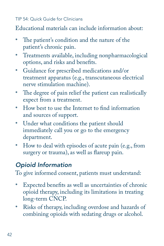Educational materials can include information about:

- The patient's condition and the nature of the patient's chronic pain.
- • Treatments available, including nonpharmacological options, and risks and benefits.
- • Guidance for prescribed medications and/or treatment apparatus (e.g., transcutaneous electrical nerve stimulation machine).
- The degree of pain relief the patient can realistically expect from a treatment.
- • How best to use the Internet to find information and sources of support.
- Under what conditions the patient should immediately call you or go to the emergency department.
- How to deal with episodes of acute pain (e.g., from surgery or trauma), as well as flareup pain.

## *Opioid Information*

To give informed consent, patients must understand:

- • Expected benefits as well as uncertainties of chronic opioid therapy, including its limitations in treating long-term CNCP.
- • Risks of therapy, including overdose and hazards of combining opioids with sedating drugs or alcohol.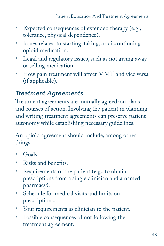- Expected consequences of extended therapy (e.g., tolerance, physical dependence).
- • Issues related to starting, taking, or discontinuing opioid medication.
- Legal and regulatory issues, such as not giving away or selling medication.
- • How pain treatment will affect MMT and vice versa (if applicable).

#### *Treatment Agreements*

Treatment agreements are mutually agreed-on plans and courses of action. Involving the patient in planning and writing treatment agreements can preserve patient autonomy while establishing necessary guidelines.

An opioid agreement should include, among other things:

- Goals.
- • Risks and benefits.
- Requirements of the patient (e.g., to obtain prescriptions from a single clinician and a named pharmacy).
- Schedule for medical visits and limits on prescriptions.
- • Your requirements as clinician to the patient.
- Possible consequences of not following the treatment agreement.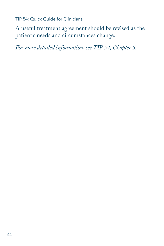A useful treatment agreement should be revised as the patient's needs and circumstances change.

*For more detailed information, see TIP 54, Chapter 5.*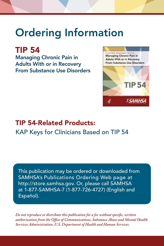# Ordering Information

TIP 54 Managing Chronic Pain in Adults With or in Recovery From Substance Use Disorders



## TIP 54-Related Products: KAP Keys for Clinicians Based on TIP 54

This publication may be ordered or downloaded from SAMHSA's Publications Ordering Web page at http://store.samhsa.gov. Or, please call SAMHSA at 1-877-SAMHSA-7 (1-877-726-4727) (English and Español).

*Do not reproduce or distribute this publication for a fee without specific, written authorization from the Office of Communications, Substance Abuse and Mental Health Services Administration, U.S. Department of Health and Human Services.*